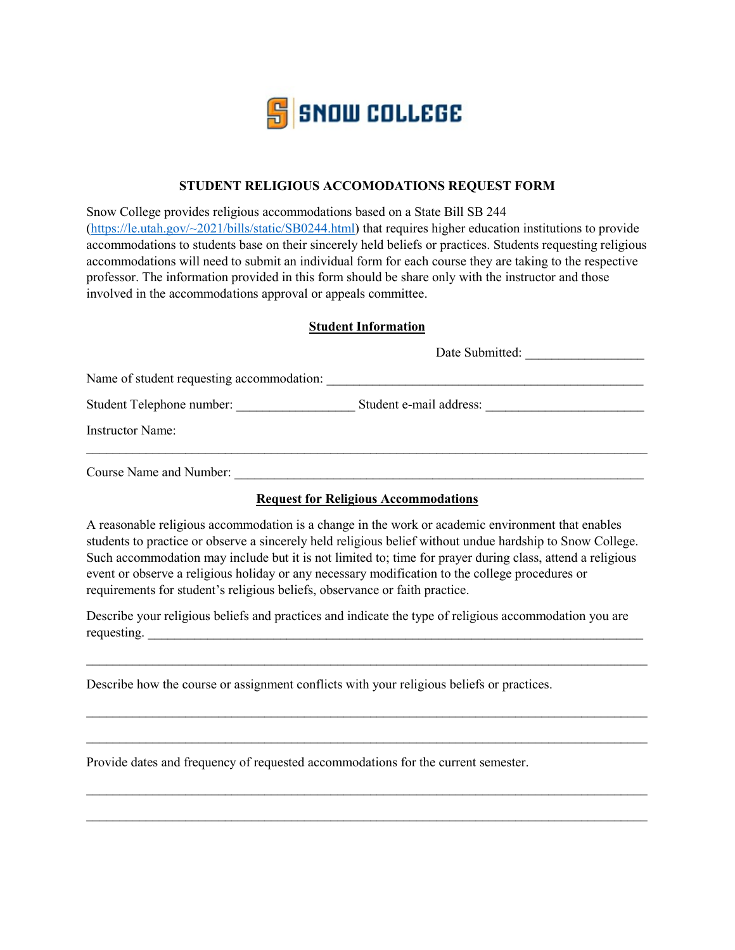

## **STUDENT RELIGIOUS ACCOMODATIONS REQUEST FORM**

Snow College provides religious accommodations based on a State Bill SB 244 [\(https://le.utah.gov/~2021/bills/static/SB0244.html\)](https://le.utah.gov/%7E2021/bills/static/SB0244.html) that requires higher education institutions to provide accommodations to students base on their sincerely held beliefs or practices. Students requesting religious accommodations will need to submit an individual form for each course they are taking to the respective professor. The information provided in this form should be share only with the instructor and those involved in the accommodations approval or appeals committee.

## **Student Information**

|                                           | Date Submitted:         |  |
|-------------------------------------------|-------------------------|--|
| Name of student requesting accommodation: |                         |  |
| Student Telephone number:                 | Student e-mail address: |  |
| <b>Instructor Name:</b>                   |                         |  |
| Course Name and Number:                   |                         |  |

## **Request for Religious Accommodations**

A reasonable religious accommodation is a change in the work or academic environment that enables students to practice or observe a sincerely held religious belief without undue hardship to Snow College. Such accommodation may include but it is not limited to; time for prayer during class, attend a religious event or observe a religious holiday or any necessary modification to the college procedures or requirements for student's religious beliefs, observance or faith practice.

Describe your religious beliefs and practices and indicate the type of religious accommodation you are requesting.  $\Box$ 

 $\mathcal{L}_\text{max}$  , and the contribution of the contribution of the contribution of the contribution of the contribution of the contribution of the contribution of the contribution of the contribution of the contribution of t

 $\_$  , and the set of the set of the set of the set of the set of the set of the set of the set of the set of the set of the set of the set of the set of the set of the set of the set of the set of the set of the set of th

\_\_\_\_\_\_\_\_\_\_\_\_\_\_\_\_\_\_\_\_\_\_\_\_\_\_\_\_\_\_\_\_\_\_\_\_\_\_\_\_\_\_\_\_\_\_\_\_\_\_\_\_\_\_\_\_\_\_\_\_\_\_\_\_\_\_\_\_\_\_\_\_\_\_\_\_\_\_\_\_\_\_\_\_\_

 $\mathcal{L}_\text{max}$  , and the contribution of the contribution of the contribution of the contribution of the contribution of the contribution of the contribution of the contribution of the contribution of the contribution of t

 $\mathcal{L}_\text{max}$  , and the contract of the contract of the contract of the contract of the contract of the contract of

Describe how the course or assignment conflicts with your religious beliefs or practices.

Provide dates and frequency of requested accommodations for the current semester.